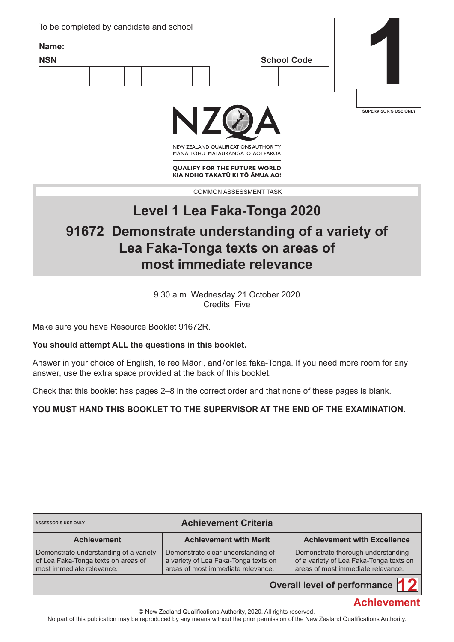| To be completed by candidate and school |                    |  |
|-----------------------------------------|--------------------|--|
| Name:                                   |                    |  |
| <b>NSN</b>                              | <b>School Code</b> |  |
|                                         |                    |  |
|                                         |                    |  |







NEW ZEALAND OUALIFICATIONS AUTHORITY MANA TOHU MATAURANGA O AOTEAROA

**QUALIFY FOR THE FUTURE WORLD** KIA NOHO TAKATŪ KI TŌ ĀMUA AO!

COMMON ASSESSMENT TASK

# **Level 1 Lea Faka-Tonga 2020 91672 Demonstrate understanding of a variety of Lea Faka-Tonga texts on areas of most immediate relevance**

9.30 a.m. Wednesday 21 October 2020 Credits: Five

Make sure you have Resource Booklet 91672R.

## **You should attempt ALL the questions in this booklet.**

Answer in your choice of English, te reo Māori, and/or lea faka-Tonga. If you need more room for any answer, use the extra space provided at the back of this booklet.

Check that this booklet has pages 2–8 in the correct order and that none of these pages is blank.

## **YOU MUST HAND THIS BOOKLET TO THE SUPERVISOR AT THE END OF THE EXAMINATION.**

| <b>ASSESSOR'S USE ONLY</b>                                                                                 | <b>Achievement Criteria</b>                                                                                      |                                                                                                                     |
|------------------------------------------------------------------------------------------------------------|------------------------------------------------------------------------------------------------------------------|---------------------------------------------------------------------------------------------------------------------|
| <b>Achievement</b>                                                                                         | <b>Achievement with Merit</b>                                                                                    | <b>Achievement with Excellence</b>                                                                                  |
| Demonstrate understanding of a variety<br>of Lea Faka-Tonga texts on areas of<br>most immediate relevance. | Demonstrate clear understanding of<br>a variety of Lea Faka-Tonga texts on<br>areas of most immediate relevance. | Demonstrate thorough understanding<br>of a variety of Lea Faka-Tonga texts on<br>areas of most immediate relevance. |

#### **Overall level of performance 12**

## **Achievement**

© New Zealand Qualifications Authority, 2020. All rights reserved.

No part of this publication may be reproduced by any means without the prior permission of the New Zealand Qualifications Authority.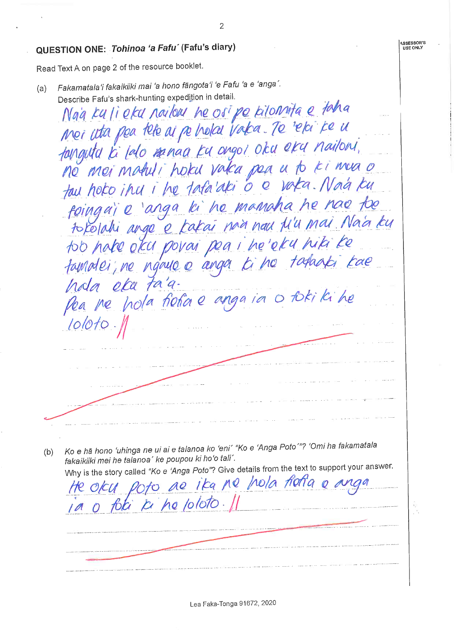## QUESTION ONE: Tohinoa 'a Fafu' (Fafu's diary)

Read Text A on page 2 of the resource booklet.

Fakamatala'i fakaikiiki mai 'a hono fāngota'i 'e Fafu 'a e 'anga'.  $(a)$ Describe Fafu's shark-hunting expedition in detail. Naja kulieku nailou he osi po kilonnita e taha Mei uta poa tele ai pe holar vaka. Te 'eki ke u tonguta la lalo manaa ku ongol oka eku nailoni, ne mei matuli hoku vaka pea u to ki mua o foingui e anga ki he mamaha he nae to totolahi ango e tatai nad nau fi'u mai Na'a ku too hake oku povai poa i he'eku hiki ke ti he tahaki kae tamatei, ne ngano o anga hola oka ta'a ne hola fiction e anga ia o toki ki he  $100010.$ Ko e hā hono 'uhinga ne ui ai e talanoa ko 'eni' "Ko e 'Anga Poto'"? 'Omi ha fakamatala  $(b)$ fakaikiiki mei he talanoa' ke poupou ki ho'o tali'. Why is the story called "Ko e 'Anga Poto"? Give details from the text to support your answer. He oku poto de ika ne hola fiofia foki ki he loloto.

Lea Faka-Tonga 91672, 2020

 $\overline{2}$ 

**ASSESSOR'S**<br>USE ONLY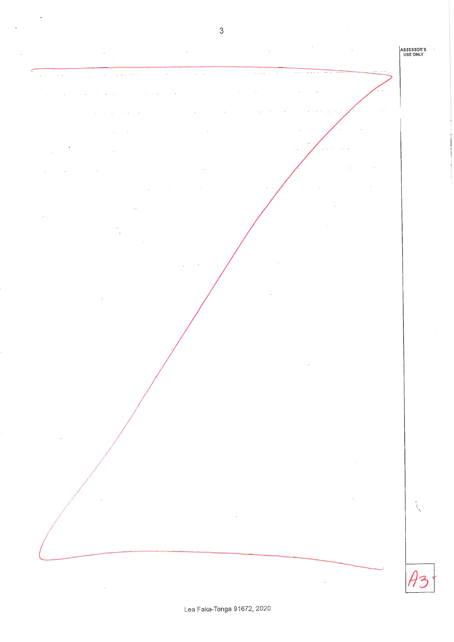

J

 $\overline{3}$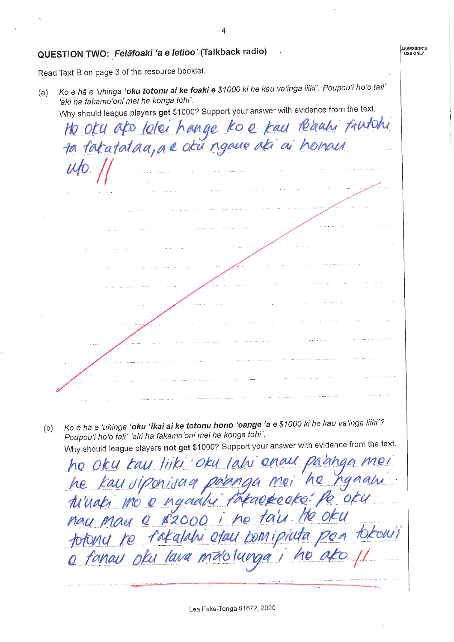|     | QUESTION TWO: Felafoaki 'a e letioo' (Talkback radio)                                                                                                                                                                                                                                   | USE ONL' |
|-----|-----------------------------------------------------------------------------------------------------------------------------------------------------------------------------------------------------------------------------------------------------------------------------------------|----------|
|     | Read Text B on page 3 of the resource booklet.                                                                                                                                                                                                                                          |          |
| (a) | Ko e hā e 'uhinga 'oku totonu ai ke foaki e \$1000 ki he kau va'inga liiki'. Poupou'i ho'o tali'<br>'aki ha fakamo'oni mei he konga tohi'.<br>Why should league players get \$1000? Support your answer with evidence from the text.<br>He oku ako lelei hange ko e kau félaahi fautohi |          |
|     |                                                                                                                                                                                                                                                                                         |          |
|     |                                                                                                                                                                                                                                                                                         |          |
|     |                                                                                                                                                                                                                                                                                         |          |
|     |                                                                                                                                                                                                                                                                                         |          |
|     |                                                                                                                                                                                                                                                                                         |          |
|     |                                                                                                                                                                                                                                                                                         |          |
|     |                                                                                                                                                                                                                                                                                         |          |
|     |                                                                                                                                                                                                                                                                                         |          |
|     |                                                                                                                                                                                                                                                                                         |          |
|     |                                                                                                                                                                                                                                                                                         |          |
|     |                                                                                                                                                                                                                                                                                         |          |
|     |                                                                                                                                                                                                                                                                                         |          |
|     |                                                                                                                                                                                                                                                                                         |          |
| (b) | Ko e hã e 'uhinga 'oku 'ikai ai ke totonu hono 'oange 'a e \$1000 ki he kau va'inga liiki'?<br>. Poupou'i ho'o tali' 'aki ha fakamo'oni mei he konga tohi'.<br>Why should league players not get \$1000? Support your answer with evidence from the text.                               |          |
|     | he oku tau liiki oku lahi enau pabaga mei                                                                                                                                                                                                                                               |          |
|     | he kau siponisaa paanga mei he ngaam                                                                                                                                                                                                                                                    |          |
|     | Niuaki mo e ngadhi fakaekeeke pe oku                                                                                                                                                                                                                                                    |          |
|     | nou may e \$2000 i no ta'u. He oku                                                                                                                                                                                                                                                      |          |
|     | totony ke fakalahi etau bomipiuta pea tokonii                                                                                                                                                                                                                                           |          |
|     | o fanau oku lava maslunga i he ako 11                                                                                                                                                                                                                                                   |          |
|     |                                                                                                                                                                                                                                                                                         |          |

Lea Faka-Tonga 91672, 2020

 $\overline{4}$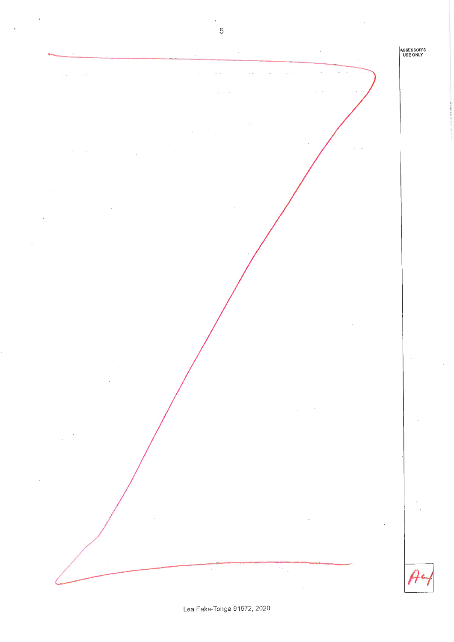

Lea Faka-Tonga 91672, 2020

5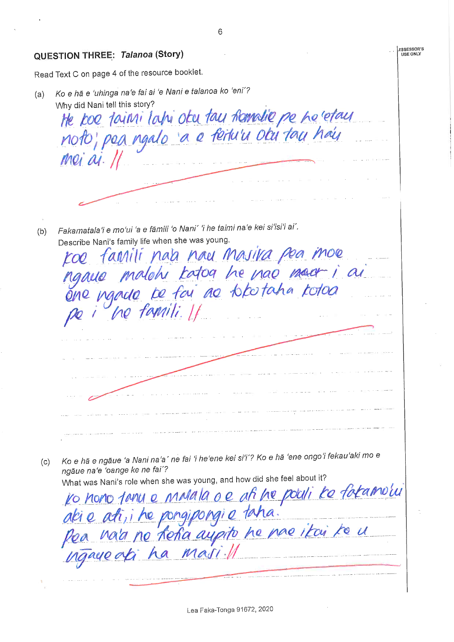**ASSESSOR'S**<br>USE ONLY QUESTION THREE: Talanoa (Story) Read Text C on page 4 of the resource booklet. Ko e hã e 'uhinga na'e fai ai 'e Nani e talanoa ko 'eni'?  $(a)$ Why did Nani tell this story? He koe tainni lahi oku tau formalie pe he etau noto; pea ngalo a e feiture obie tau hau moi ai. 11 Fakamatala'i e mo'ui 'a e fāmili 'o Nani' 'i he taimi na'e kei si'isi'i ai'.  $(b)$ Describe Nani's family life when she was young. famili nab nau Masira poa moe ngaue malohi katoa he nao naar i ai 'he famili. Il Ko e hā e ngāue 'a Nani na'a' ne fai 'i he'ene kei si'i'? Ko e hā 'ene ongo'i fekau'aki mo e  $(c)$ ngāue na'e 'oange ke ne fai'? What was Nani's role when she was young, and how did she feel about it? jo nono tany e malala o e afi he pouli ke ta akie ati, i he pongipongie taha. pea nala ne tetia aypito he nae itai to u ngayeati ha masi

6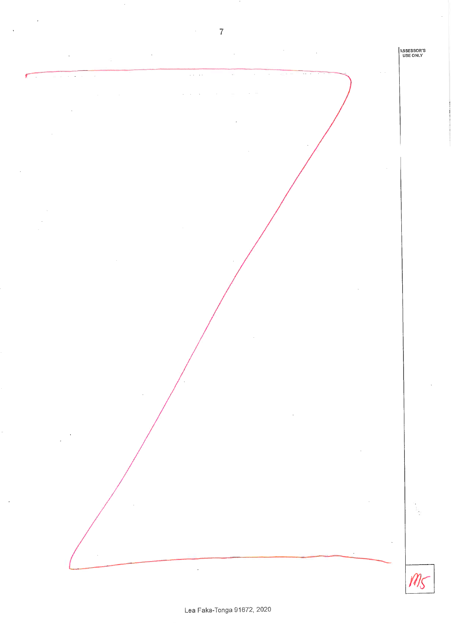



 $\ddot{\phantom{a}}$